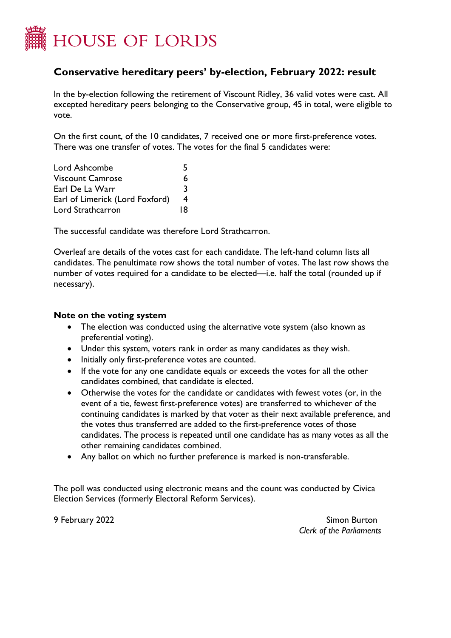

## **Conservative hereditary peers' by-election, February 2022: result**

In the by-election following the retirement of Viscount Ridley, 36 valid votes were cast. All excepted hereditary peers belonging to the Conservative group, 45 in total, were eligible to vote.

On the first count, of the 10 candidates, 7 received one or more first-preference votes. There was one transfer of votes. The votes for the final 5 candidates were:

| Lord Ashcombe                   | ↖  |
|---------------------------------|----|
| <b>Viscount Camrose</b>         | 6  |
| Earl De La Warr                 | २  |
| Earl of Limerick (Lord Foxford) | 4  |
| Lord Strathcarron               | 18 |

The successful candidate was therefore Lord Strathcarron.

Overleaf are details of the votes cast for each candidate. The left-hand column lists all candidates. The penultimate row shows the total number of votes. The last row shows the number of votes required for a candidate to be elected—i.e. half the total (rounded up if necessary).

## **Note on the voting system**

- The election was conducted using the alternative vote system (also known as preferential voting).
- Under this system, voters rank in order as many candidates as they wish.
- Initially only first-preference votes are counted.
- If the vote for any one candidate equals or exceeds the votes for all the other candidates combined, that candidate is elected.
- Otherwise the votes for the candidate or candidates with fewest votes (or, in the event of a tie, fewest first-preference votes) are transferred to whichever of the continuing candidates is marked by that voter as their next available preference, and the votes thus transferred are added to the first-preference votes of those candidates. The process is repeated until one candidate has as many votes as all the other remaining candidates combined.
- Any ballot on which no further preference is marked is non-transferable.

The poll was conducted using electronic means and the count was conducted by Civica Election Services (formerly Electoral Reform Services).

9 February 2022 Simon Burton *Clerk of the Parliaments*